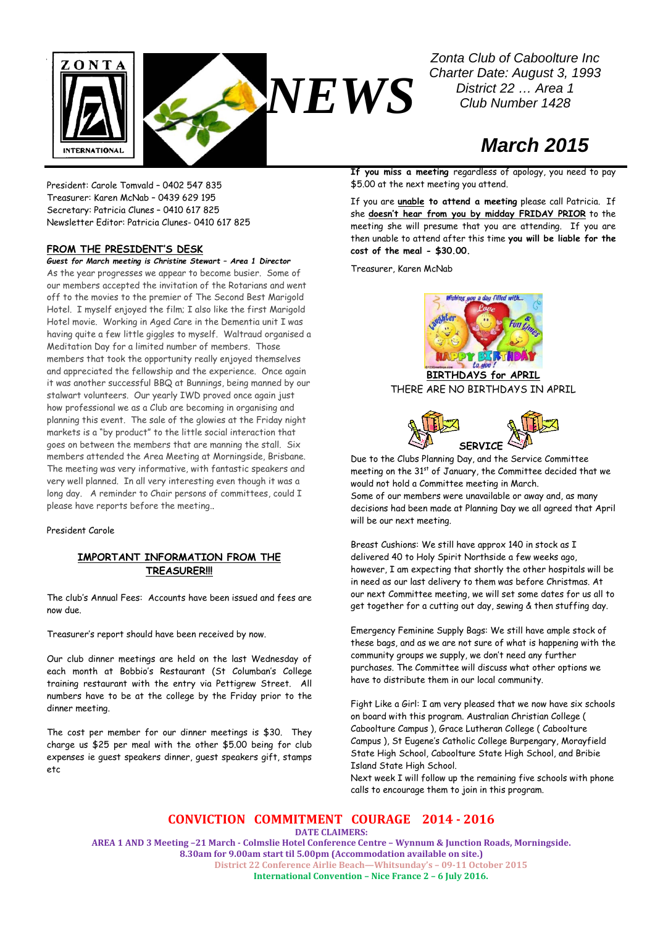

*Zonta Club of Caboolture Inc Charter Date: August 3, 1993 District 22 … Area 1 Club Number 1428*

# *March 2015*

President: Carole Tomvald – 0402 547 835 Treasurer: Karen McNab – 0439 629 195 Secretary: Patricia Clunes – 0410 617 825 Newsletter Editor: Patricia Clunes- 0410 617 825

### **FROM THE PRESIDENT'S DESK**

*Guest for March meeting is Christine Stewart – Area 1 Director* As the year progresses we appear to become busier. Some of our members accepted the invitation of the Rotarians and went off to the movies to the premier of The Second Best Marigold Hotel. I myself enjoyed the film; I also like the first Marigold Hotel movie. Working in Aged Care in the Dementia unit I was having quite a few little giggles to myself. Waltraud organised a Meditation Day for a limited number of members. Those members that took the opportunity really enjoyed themselves and appreciated the fellowship and the experience. Once again it was another successful BBQ at Bunnings, being manned by our stalwart volunteers. Our yearly IWD proved once again just how professional we as a Club are becoming in organising and planning this event. The sale of the glowies at the Friday night markets is a "by product" to the little social interaction that goes on between the members that are manning the stall. Six members attended the Area Meeting at Morningside, Brisbane. The meeting was very informative, with fantastic speakers and very well planned. In all very interesting even though it was a long day. A reminder to Chair persons of committees, could I please have reports before the meeting..

### President Carole

## **IMPORTANT INFORMATION FROM THE TREASURER!!!**

The club's Annual Fees: Accounts have been issued and fees are now due.

Treasurer's report should have been received by now.

Our club dinner meetings are held on the last Wednesday of each month at Bobbio's Restaurant (St Columban's College training restaurant with the entry via Pettigrew Street. All numbers have to be at the college by the Friday prior to the dinner meeting.

The cost per member for our dinner meetings is \$30. They charge us \$25 per meal with the other \$5.00 being for club expenses ie guest speakers dinner, guest speakers gift, stamps etc

**If you miss a meeting** regardless of apology, you need to pay

If you are **unable to attend a meeting** please call Patricia. If she **doesn't hear from you by midday FRIDAY PRIOR** to the meeting she will presume that you are attending. If you are then unable to attend after this time **you will be liable for the cost of the meal - \$30.00.**

Treasurer, Karen McNab

\$5.00 at the next meeting you attend.



**BIRTHDAYS for APRIL** THERE ARE NO BIRTHDAYS IN APRIL



Due to the Clubs Planning Day, and the Service Committee meeting on the 31<sup>st</sup> of January, the Committee decided that we would not hold a Committee meeting in March. Some of our members were unavailable or away and, as many decisions had been made at Planning Day we all agreed that April will be our next meeting.

Breast Cushions: We still have approx 140 in stock as I delivered 40 to Holy Spirit Northside a few weeks ago, however, I am expecting that shortly the other hospitals will be in need as our last delivery to them was before Christmas. At our next Committee meeting, we will set some dates for us all to get together for a cutting out day, sewing & then stuffing day.

Emergency Feminine Supply Bags: We still have ample stock of these bags, and as we are not sure of what is happening with the community groups we supply, we don't need any further purchases. The Committee will discuss what other options we have to distribute them in our local community.

Fight Like a Girl: I am very pleased that we now have six schools on board with this program. Australian Christian College ( Caboolture Campus ), Grace Lutheran College ( Caboolture Campus ), St Eugene's Catholic College Burpengary, Morayfield State High School, Caboolture State High School, and Bribie Island State High School.

Next week I will follow up the remaining five schools with phone calls to encourage them to join in this program.

**CONVICTION COMMITMENT COURAGE 2014 - 2016**

**DATE CLAIMERS:**

**AREA 1 AND 3 Meeting –21 March - Colmslie Hotel Conference Centre – Wynnum & Junction Roads, Morningside. 8.30am for 9.00am start til 5.00pm (Accommodation available on site.) District 22 Conference Airlie Beach—Whitsunday's – 09-11 October 2015 International Convention – Nice France 2 – 6 July 2016.**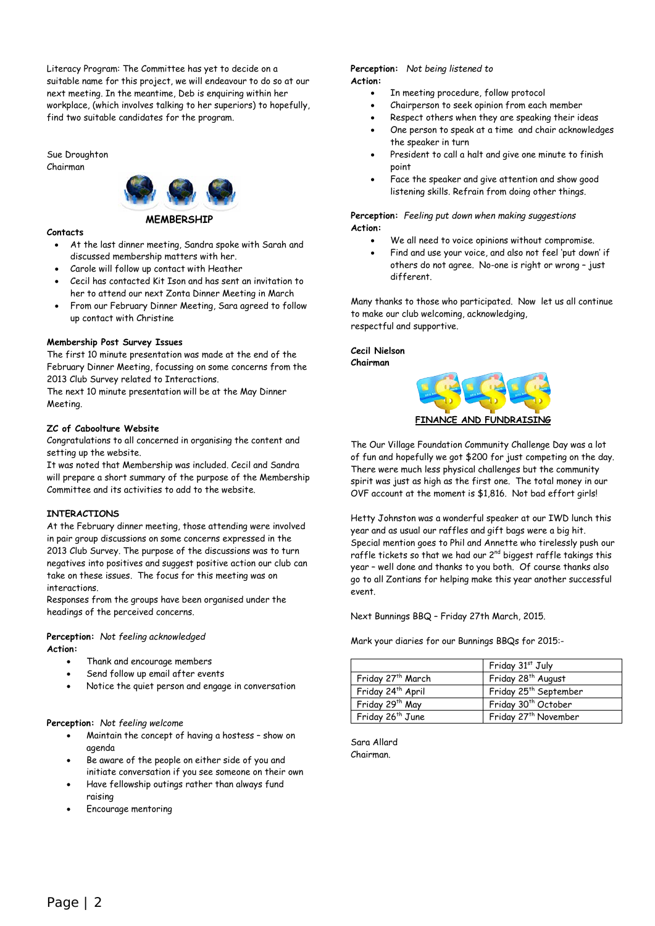Literacy Program: The Committee has yet to decide on a suitable name for this project, we will endeavour to do so at our next meeting. In the meantime, Deb is enquiring within her workplace, (which involves talking to her superiors) to hopefully, find two suitable candidates for the program.

Sue Droughton Chairman



### **MEMBERSHIP**

### **Contacts**

- At the last dinner meeting, Sandra spoke with Sarah and discussed membership matters with her.
- Carole will follow up contact with Heather
- Cecil has contacted Kit Ison and has sent an invitation to her to attend our next Zonta Dinner Meeting in March
- From our February Dinner Meeting, Sara agreed to follow up contact with Christine

### **Membership Post Survey Issues**

The first 10 minute presentation was made at the end of the February Dinner Meeting, focussing on some concerns from the 2013 Club Survey related to Interactions.

The next 10 minute presentation will be at the May Dinner Meeting.

### **ZC of Caboolture Website**

Congratulations to all concerned in organising the content and setting up the website.

It was noted that Membership was included. Cecil and Sandra will prepare a short summary of the purpose of the Membership Committee and its activities to add to the website.

### **INTERACTIONS**

At the February dinner meeting, those attending were involved in pair group discussions on some concerns expressed in the 2013 Club Survey. The purpose of the discussions was to turn negatives into positives and suggest positive action our club can take on these issues. The focus for this meeting was on interactions.

Responses from the groups have been organised under the headings of the perceived concerns.

# **Perception:** *Not feeling acknowledged*

**Action:**

- Thank and encourage members
- Send follow up email after events
- Notice the quiet person and engage in conversation

**Perception:** *Not feeling welcome*

- Maintain the concept of having a hostess show on agenda
- Be aware of the people on either side of you and initiate conversation if you see someone on their own
- Have fellowship outings rather than always fund raising
- Encourage mentoring

#### **Perception:** *Not being listened to* **Action:**

- In meeting procedure, follow protocol
- Chairperson to seek opinion from each member
- Respect others when they are speaking their ideas
- One person to speak at a time and chair acknowledges the speaker in turn
- President to call a halt and give one minute to finish point
- Face the speaker and give attention and show good listening skills. Refrain from doing other things.

**Perception:** *Feeling put down when making suggestions* **Action:**

- We all need to voice opinions without compromise.
- Find and use your voice, and also not feel 'put down' if others do not agree. No-one is right or wrong – just different.

Many thanks to those who participated. Now let us all continue to make our club welcoming, acknowledging, respectful and supportive.

**Cecil Nielson Chairman**



The Our Village Foundation Community Challenge Day was a lot of fun and hopefully we got \$200 for just competing on the day. There were much less physical challenges but the community spirit was just as high as the first one. The total money in our OVF account at the moment is \$1,816. Not bad effort girls!

Hetty Johnston was a wonderful speaker at our IWD lunch this year and as usual our raffles and gift bags were a big hit. Special mention goes to Phil and Annette who tirelessly push our raffle tickets so that we had our  $2^{nd}$  biggest raffle takings this year – well done and thanks to you both. Of course thanks also go to all Zontians for helping make this year another successful event.

Next Bunnings BBQ – Friday 27th March, 2015.

Mark your diaries for our Bunnings BBQs for 2015:-

|                               | Friday 31st July                  |
|-------------------------------|-----------------------------------|
| Friday 27th March             | Friday 28 <sup>th</sup> August    |
| Friday 24 <sup>th</sup> April | Friday 25 <sup>th</sup> September |
| Friday 29th May               | Friday 30 <sup>th</sup> October   |
| Friday 26 <sup>th</sup> June  | Friday 27 <sup>th</sup> November  |

Sara Allard Chairman.